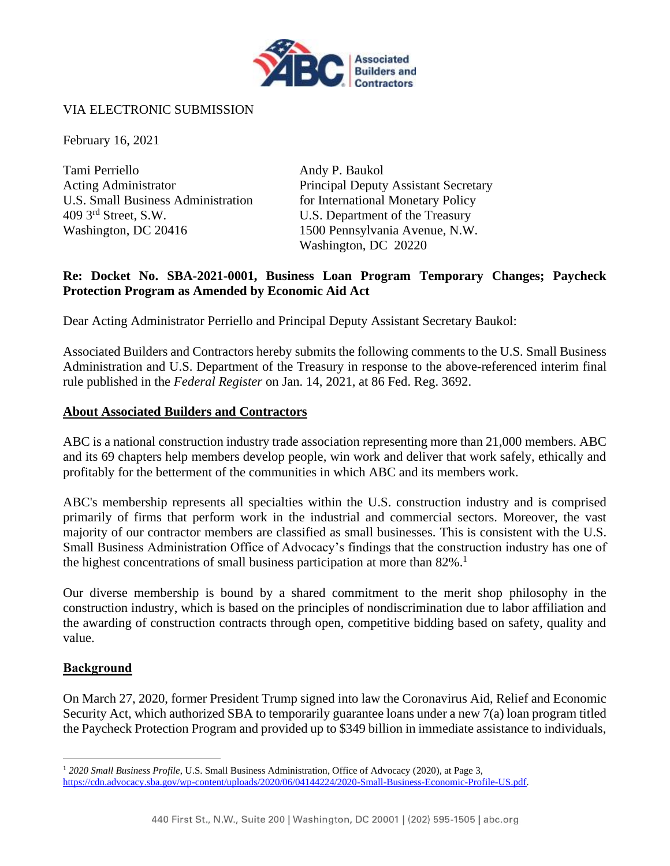

#### VIA ELECTRONIC SUBMISSION

February 16, 2021

Tami Perriello Andy P. Baukol Acting Administrator **Principal Deputy Assistant Secretary** U.S. Small Business Administration for International Monetary Policy 409 3rd Street, S.W. U.S. Department of the Treasury Washington, DC 20416 1500 Pennsylvania Avenue, N.W.

Washington, DC 20220

#### **Re: Docket No. SBA-2021-0001, Business Loan Program Temporary Changes; Paycheck Protection Program as Amended by Economic Aid Act**

Dear Acting Administrator Perriello and Principal Deputy Assistant Secretary Baukol:

Associated Builders and Contractors hereby submits the following comments to the U.S. Small Business Administration and U.S. Department of the Treasury in response to the above-referenced interim final rule published in the *Federal Register* on Jan. 14, 2021, at 86 Fed. Reg. 3692.

#### **About Associated Builders and Contractors**

ABC is a national construction industry trade association representing more than 21,000 members. ABC and its 69 chapters help members develop people, win work and deliver that work safely, ethically and profitably for the betterment of the communities in which ABC and its members work.

ABC's membership represents all specialties within the U.S. construction industry and is comprised primarily of firms that perform work in the industrial and commercial sectors. Moreover, the vast majority of our contractor members are classified as small businesses. This is consistent with the U.S. Small Business Administration Office of Advocacy's findings that the construction industry has one of the highest concentrations of small business participation at more than  $82\%$ <sup>1</sup>

Our diverse membership is bound by a shared commitment to the merit shop philosophy in the construction industry, which is based on the principles of nondiscrimination due to labor affiliation and the awarding of construction contracts through open, competitive bidding based on safety, quality and value.

#### **Background**

On March 27, 2020, former President Trump signed into law the Coronavirus Aid, Relief and Economic Security Act, which authorized SBA to temporarily guarantee loans under a new 7(a) loan program titled the Paycheck Protection Program and provided up to \$349 billion in immediate assistance to individuals,

<sup>1</sup> *2020 Small Business Profile*, U.S. Small Business Administration, Office of Advocacy (2020), at Page 3, [https://cdn.advocacy.sba.gov/wp-content/uploads/2020/06/04144224/2020-Small-Business-Economic-Profile-US.pdf.](https://cdn.advocacy.sba.gov/wp-content/uploads/2020/06/04144224/2020-Small-Business-Economic-Profile-US.pdf)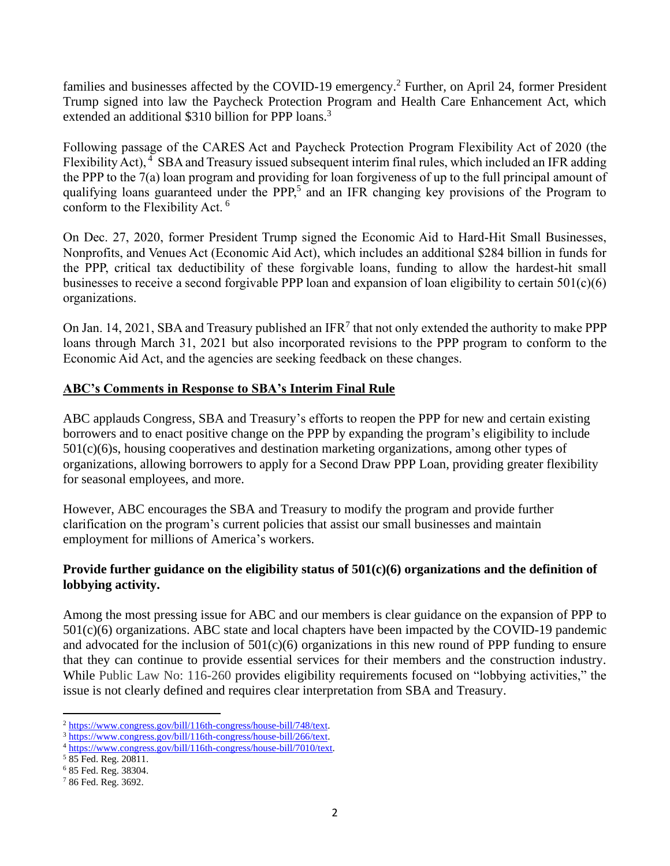families and businesses affected by the COVID-19 emergency.<sup>2</sup> Further, on April 24, former President Trump signed into law the Paycheck Protection Program and Health Care Enhancement Act, which extended an additional \$310 billion for PPP loans.<sup>3</sup>

Following passage of the CARES Act and Paycheck Protection Program Flexibility Act of 2020 (the Flexibility Act), <sup>4</sup> SBA and Treasury issued subsequent interim final rules, which included an IFR adding the PPP to the 7(a) loan program and providing for loan forgiveness of up to the full principal amount of qualifying loans guaranteed under the PPP,<sup>5</sup> and an IFR changing key provisions of the Program to conform to the Flexibility Act. <sup>6</sup>

On Dec. 27, 2020, former President Trump signed the Economic Aid to Hard-Hit Small Businesses, Nonprofits, and Venues Act (Economic Aid Act), which includes an additional \$284 billion in funds for the PPP, critical tax deductibility of these forgivable loans, funding to allow the hardest-hit small businesses to receive a second forgivable PPP loan and expansion of loan eligibility to certain 501(c)(6) organizations.

On Jan. 14, 2021, SBA and Treasury published an IFR<sup>7</sup> that not only extended the authority to make PPP loans through March 31, 2021 but also incorporated revisions to the PPP program to conform to the Economic Aid Act, and the agencies are seeking feedback on these changes.

# **ABC's Comments in Response to SBA's Interim Final Rule**

ABC applauds Congress, SBA and Treasury's efforts to reopen the PPP for new and certain existing borrowers and to enact positive change on the PPP by expanding the program's eligibility to include 501(c)(6)s, housing cooperatives and destination marketing organizations, among other types of organizations, allowing borrowers to apply for a Second Draw PPP Loan, providing greater flexibility for seasonal employees, and more.

However, ABC encourages the SBA and Treasury to modify the program and provide further clarification on the program's current policies that assist our small businesses and maintain employment for millions of America's workers.

# **Provide further guidance on the eligibility status of 501(c)(6) organizations and the definition of lobbying activity.**

Among the most pressing issue for ABC and our members is clear guidance on the expansion of PPP to 501(c)(6) organizations. ABC state and local chapters have been impacted by the COVID-19 pandemic and advocated for the inclusion of  $501(c)(6)$  organizations in this new round of PPP funding to ensure that they can continue to provide essential services for their members and the construction industry. While Public Law No: 116-260 provides eligibility requirements focused on "lobbying activities," the issue is not clearly defined and requires clear interpretation from SBA and Treasury.

<sup>2</sup> [https://www.congress.gov/bill/116th-congress/house-bill/748/text.](https://www.congress.gov/bill/116th-congress/house-bill/748/text)

<sup>3</sup> [https://www.congress.gov/bill/116th-congress/house-bill/266/text.](https://www.congress.gov/bill/116th-congress/house-bill/266/text)

<sup>4</sup> [https://www.congress.gov/bill/116th-congress/house-bill/7010/text.](https://www.congress.gov/bill/116th-congress/house-bill/7010/text)

<sup>5</sup> 85 Fed. Reg. 20811.

<sup>6</sup> 85 Fed. Reg. 38304.

<sup>7</sup> 86 Fed. Reg. 3692.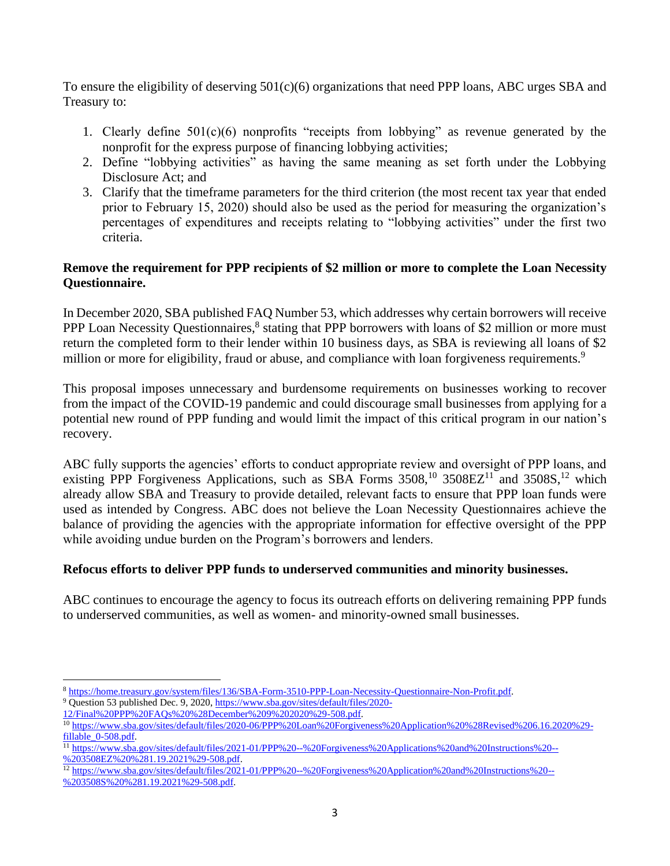To ensure the eligibility of deserving 501(c)(6) organizations that need PPP loans, ABC urges SBA and Treasury to:

- 1. Clearly define 501(c)(6) nonprofits "receipts from lobbying" as revenue generated by the nonprofit for the express purpose of financing lobbying activities;
- 2. Define "lobbying activities" as having the same meaning as set forth under the Lobbying Disclosure Act; and
- 3. Clarify that the timeframe parameters for the third criterion (the most recent tax year that ended prior to February 15, 2020) should also be used as the period for measuring the organization's percentages of expenditures and receipts relating to "lobbying activities" under the first two criteria.

# **Remove the requirement for PPP recipients of \$2 million or more to complete the Loan Necessity Questionnaire.**

In December 2020, SBA published FAQ Number 53, which addresses why certain borrowers will receive PPP Loan Necessity Questionnaires,<sup>8</sup> stating that PPP borrowers with loans of \$2 million or more must return the completed form to their lender within 10 business days, as SBA is reviewing all loans of \$2 million or more for eligibility, fraud or abuse, and compliance with loan forgiveness requirements.<sup>9</sup>

This proposal imposes unnecessary and burdensome requirements on businesses working to recover from the impact of the COVID-19 pandemic and could discourage small businesses from applying for a potential new round of PPP funding and would limit the impact of this critical program in our nation's recovery.

ABC fully supports the agencies' efforts to conduct appropriate review and oversight of PPP loans, and existing PPP Forgiveness Applications, such as SBA Forms  $3508$ ,<sup>10</sup>  $3508EZ$ <sup>11</sup> and  $3508S$ ,<sup>12</sup> which already allow SBA and Treasury to provide detailed, relevant facts to ensure that PPP loan funds were used as intended by Congress. ABC does not believe the Loan Necessity Questionnaires achieve the balance of providing the agencies with the appropriate information for effective oversight of the PPP while avoiding undue burden on the Program's borrowers and lenders.

# **Refocus efforts to deliver PPP funds to underserved communities and minority businesses.**

ABC continues to encourage the agency to focus its outreach efforts on delivering remaining PPP funds to underserved communities, as well as women- and minority-owned small businesses.

<sup>8</sup> [https://home.treasury.gov/system/files/136/SBA-Form-3510-PPP-Loan-Necessity-Questionnaire-Non-Profit.pdf.](https://home.treasury.gov/system/files/136/SBA-Form-3510-PPP-Loan-Necessity-Questionnaire-Non-Profit.pdf)

<sup>&</sup>lt;sup>9</sup> Question 53 published Dec. 9, 2020[, https://www.sba.gov/sites/default/files/2020-](https://www.sba.gov/sites/default/files/2020-12/Final%20PPP%20FAQs%20%28December%209%202020%29-508.pdf)

[<sup>12/</sup>Final%20PPP%20FAQs%20%28December%209%202020%29-508.pdf.](https://www.sba.gov/sites/default/files/2020-12/Final%20PPP%20FAQs%20%28December%209%202020%29-508.pdf) <sup>10</sup> [https://www.sba.gov/sites/default/files/2020-06/PPP%20Loan%20Forgiveness%20Application%20%28Revised%206.16.2020%29-](https://www.sba.gov/sites/default/files/2020-06/PPP%20Loan%20Forgiveness%20Application%20%28Revised%206.16.2020%29-fillable_0-508.pdf)

[fillable\\_0-508.pdf.](https://www.sba.gov/sites/default/files/2020-06/PPP%20Loan%20Forgiveness%20Application%20%28Revised%206.16.2020%29-fillable_0-508.pdf) <sup>11</sup> [https://www.sba.gov/sites/default/files/2021-01/PPP%20--%20Forgiveness%20Applications%20and%20Instructions%20--](https://www.sba.gov/sites/default/files/2021-01/PPP%20--%20Forgiveness%20Applications%20and%20Instructions%20--%203508EZ%20%281.19.2021%29-508.pdf) [%203508EZ%20%281.19.2021%29-508.pdf.](https://www.sba.gov/sites/default/files/2021-01/PPP%20--%20Forgiveness%20Applications%20and%20Instructions%20--%203508EZ%20%281.19.2021%29-508.pdf) 

<sup>&</sup>lt;sup>12</sup> [https://www.sba.gov/sites/default/files/2021-01/PPP%20--%20Forgiveness%20Application%20and%20Instructions%20--](https://www.sba.gov/sites/default/files/2021-01/PPP%20--%20Forgiveness%20Application%20and%20Instructions%20--%203508S%20%281.19.2021%29-508.pdf) %203508S%20%281.19.2021%29-508.pdf.